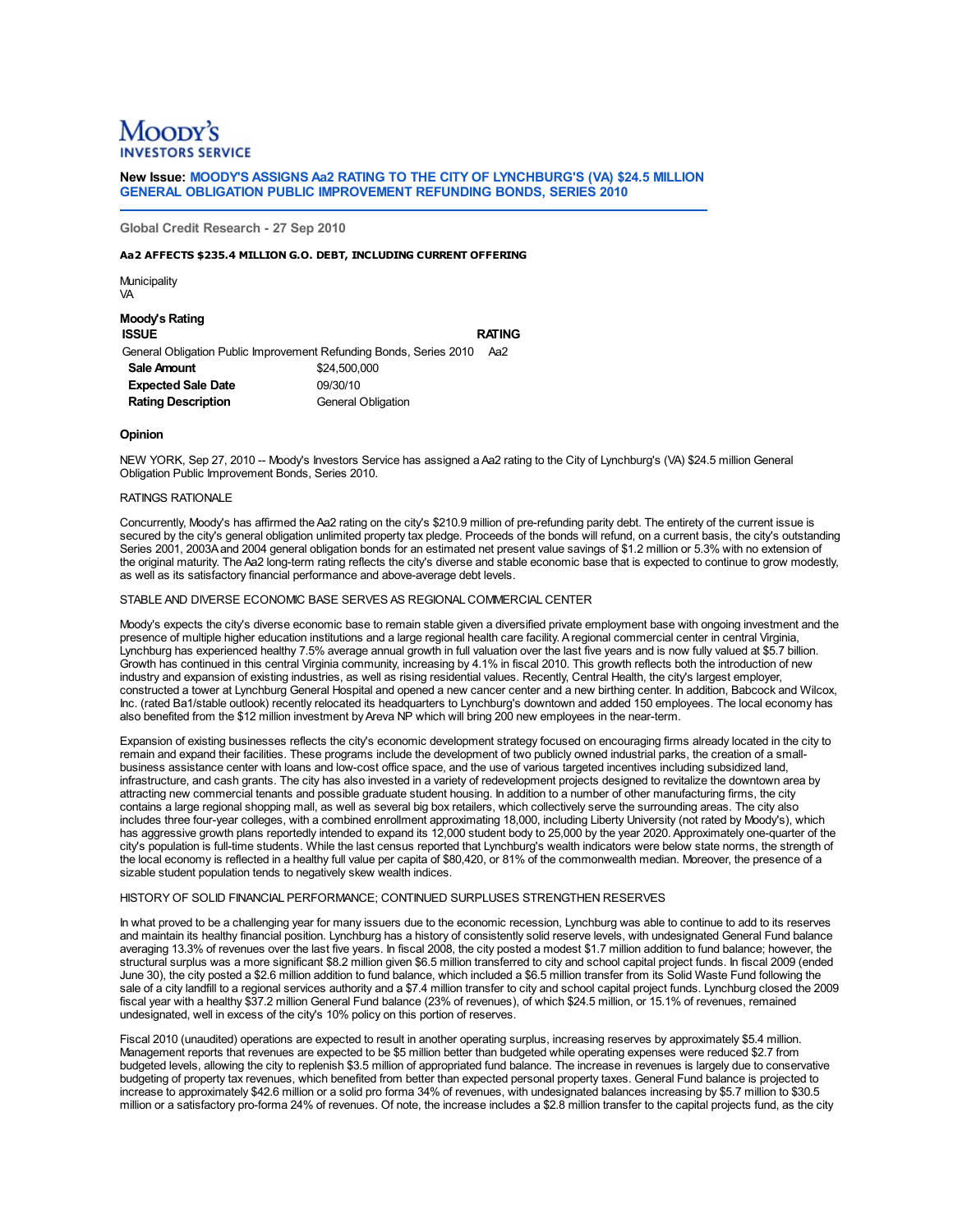# Moopy's

# **New Issue: MOODY'S ASSIGNS Aa2 RATING TO THE CITY OF LYNCHBURG'S (VA) \$24.5 MILLION GENERAL OBLIGATION PUBLIC IMPROVEMENT REFUNDING BONDS, SERIES 2010**

**Global Credit Research - 27 Sep 2010**

#### **Aa2 AFFECTS \$235.4 MILLION G.O. DEBT, INCLUDING CURRENT OFFERING**

**Municipality** VA

| Moody's Rating                                                            |                           |
|---------------------------------------------------------------------------|---------------------------|
| <b>ISSUE</b>                                                              | <b>RATING</b>             |
| General Obligation Public Improvement Refunding Bonds, Series 2010<br>Aa2 |                           |
| <b>Sale Amount</b>                                                        | \$24,500,000              |
| <b>Expected Sale Date</b>                                                 | 09/30/10                  |
| <b>Rating Description</b>                                                 | <b>General Obligation</b> |

#### **Opinion**

NEW YORK, Sep 27, 2010 -- Moody's Investors Service has assigned a Aa2 rating to the City of Lynchburg's (VA) \$24.5 million General Obligation Public Improvement Bonds, Series 2010.

# RATINGS RATIONALE

Concurrently, Moody's has affirmed the Aa2 rating on the city's \$210.9 million of pre-refunding parity debt. The entirety of the current issue is secured by the city's general obligation unlimited property tax pledge. Proceeds of the bonds will refund, on a current basis, the city's outstanding Series 2001, 2003Aand 2004 general obligation bonds for an estimated net present value savings of \$1.2 million or 5.3% with no extension of the original maturity. The Aa2 long-term rating reflects the city's diverse and stable economic base that is expected to continue to grow modestly, as well as its satisfactory financial performance and above-average debt levels.

## STABLE AND DIVERSE ECONOMIC BASE SERVES AS REGIONAL COMMERCIAL CENTER

Moody's expects the city's diverse economic base to remain stable given a diversified private employment base with ongoing investment and the presence of multiple higher education institutions and a large regional health care facility. A regional commercial center in central Virginia,<br>Lynchburg has experienced healthy 7.5% average annual growth in full valuation Growth has continued in this central Virginia community, increasing by 4.1% in fiscal 2010. This growth reflects both the introduction of new industry and expansion of existing industries, as well as rising residential values. Recently, Central Health, the city's largest employer, constructed a tower at Lynchburg General Hospital and opened a new cancer center and a new birthing center. In addition, Babcock and Wilcox, Inc. (rated Ba1/stable outlook) recently relocated its headquarters to Lynchburg's downtown and added 150 employees. The local economy has also benefited from the \$12 million investment by Areva NP which will bring 200 new employees in the near-term.

Expansion of existing businesses reflects the city's economic development strategy focused on encouraging firms already located in the city to remain and expand their facilities. These programs include the development of two publicly owned industrial parks, the creation of a smallbusiness assistance center with loans and low-cost office space, and the use of various targeted incentives including subsidized land, infrastructure, and cash grants. The city has also invested in a variety of redevelopment projects designed to revitalize the downtown area by attracting new commercial tenants and possible graduate student housing. In addition to a number of other manufacturing firms, the city contains a large regional shopping mall, as well as several big box retailers, which collectively serve the surrounding areas. The city also includes three four-year colleges, with a combined enrollment approximating 18,000, including Liberty University (not rated by Moody's), which has aggressive growth plans reportedly intended to expand its 12,000 student body to 25,000 by the year 2020. Approximately one-quarter of the city's population is full-time students. While the last census reported that Lynchburg's wealth indicators were below state norms, the strength of the local economy is reflected in a healthy full value per capita of \$80,420, or 81% of the commonwealth median. Moreover, the presence of a sizable student population tends to negatively skew wealth indices.

### HISTORY OF SOLID FINANCIAL PERFORMANCE; CONTINUED SURPLUSES STRENGTHEN RESERVES

In what proved to be a challenging year for many issuers due to the economic recession, Lynchburg was able to continue to add to its reserves and maintain its healthy financial position. Lynchburg has a history of consistently solid reserve levels, with undesignated General Fund balance averaging 13.3% of revenues over the last five years. In fiscal 2008, the city posted a modest \$1.7 million addition to fund balance; however, the structural surplus was a more significant \$8.2 million given \$6.5 million transferred to city and school capital project funds. In fiscal 2009 (ended June 30), the city posted a \$2.6 million addition to fund balance, which included a \$6.5 million transfer from its Solid Waste Fund following the sale of a city landfill to a regional services authority and a \$7.4 million transfer to city and school capital project funds. Lynchburg closed the 2009 fiscal year with a healthy \$37.2 million General Fund balance (23% of revenues), of which \$24.5 million, or 15.1% of revenues, remained undesignated, well in excess of the city's 10% policy on this portion of reserves.

Fiscal 2010 (unaudited) operations are expected to result in another operating surplus, increasing reserves by approximately \$5.4 million. Management reports that revenues are expected to be \$5 million better than budgeted while operating expenses were reduced \$2.7 from budgeted levels, allowing the city to replenish \$3.5 million of appropriated fund balance. The increase in revenues is largely due to conservative budgeting of property tax revenues, which benefited from better than expected personal property taxes. General Fund balance is projected to increase to approximately \$42.6 million or a solid pro forma 34% of revenues, with million or a satisfactory pro-forma 24% of revenues. Of note, the increase includes a \$2.8 million transfer to the capital projects fund, as the city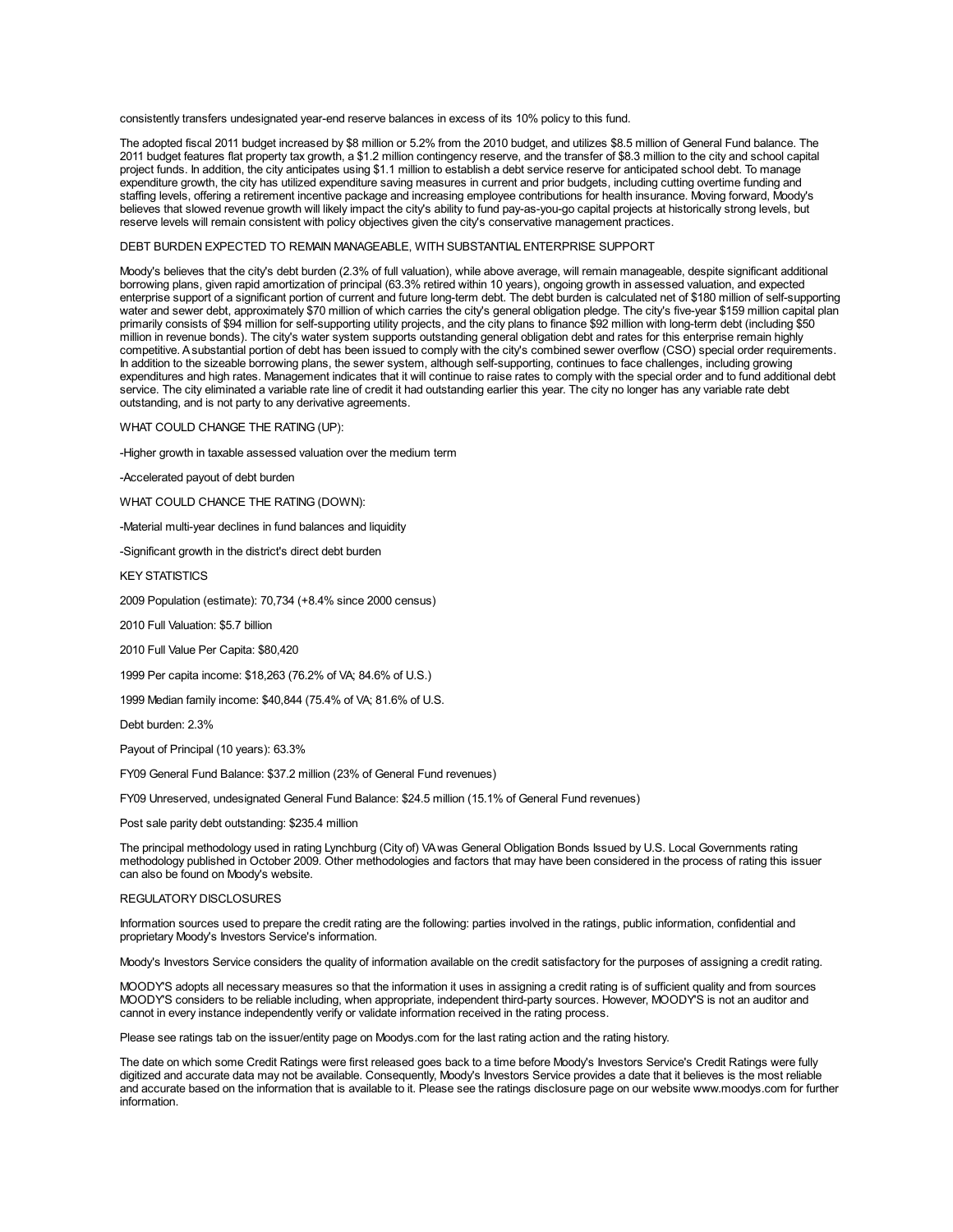consistently transfers undesignated year-end reserve balances in excess of its 10% policy to this fund.

The adopted fiscal 2011 budget increased by \$8 million or 5.2% from the 2010 budget, and utilizes \$8.5 million of General Fund balance. The 2011 budget features flat property tax growth, a \$1.2 million contingency reserve, and the transfer of \$8.3 million to the city and school capital project funds. In addition, the city anticipates using \$1.1 million to establish a debt service reserve for anticipated school debt. To manage expenditure growth, the city has utilized expenditure saving measures in current and prior budgets, including cutting overtime funding and staffing levels, offering a retirement incentive package and increasing employee contributions for health insurance. Moving forward, Moody's believes that slowed revenue growth will likely impact the city's ability to fund pay-as-you-go capital projects at historically strong levels, but reserve levels will remain consistent with policy objectives given the city's conservative management practices.

# DEBT BURDEN EXPECTED TO REMAIN MANAGEABLE, WITH SUBSTANTIAL ENTERPRISE SUPPORT

Moody's believes that the city's debt burden (2.3% of full valuation), while above average, will remain manageable, despite significant additional borrowing plans, given rapid amortization of principal (63.3% retired within 10 years), ongoing growth in assessed valuation, and expected enterprise support of a significant portion of current and future long-term debt. The debt burden is calculated net of \$180 million of self-supporting water and sewer debt, approximately \$70 million of which carries the city's general obligation pledge. The city's five-year \$159 million capital plan<br>primarily consists of \$94 million for self-supporting utility projects, million in revenue bonds). The city's water system supports outstanding general obligation debt and rates for this enterprise remain highly competitive. Asubstantial portion of debt has been issued to comply with the city's combined sewer overflow (CSO) special order requirements. In addition to the sizeable borrowing plans, the sewer system, although self-supporting, continues to face challenges, including growing expenditures and high rates. Management indicates that it will continue to raise rates to comply with the special order and to fund additional debt service. The city eliminated a variable rate line of credit it had outstanding earlier this year. The city no longer has any variable rate debt outstanding, and is not party to any derivative agreements.

WHAT COULD CHANGE THE RATING (UP):

-Higher growth in taxable assessed valuation over the medium term

-Accelerated payout of debt burden

WHAT COULD CHANCE THE RATING (DOWN):

-Material multi-year declines in fund balances and liquidity

-Significant growth in the district's direct debt burden

KEY STATISTICS

2009 Population (estimate): 70,734 (+8.4% since 2000 census)

2010 Full Valuation: \$5.7 billion

2010 Full Value Per Capita: \$80,420

1999 Per capita income: \$18,263 (76.2% of VA; 84.6% of U.S.)

1999 Median family income: \$40,844 (75.4% of VA; 81.6% of U.S.

Debt burden: 2.3%

Payout of Principal (10 years): 63.3%

FY09 General Fund Balance: \$37.2 million (23% of General Fund revenues)

FY09 Unreserved, undesignated General Fund Balance: \$24.5 million (15.1% of General Fund revenues)

Post sale parity debt outstanding: \$235.4 million

The principal methodology used in rating Lynchburg (City of) VAwas General Obligation Bonds Issued by U.S. Local Governments rating methodology published in October 2009. Other methodologies and factors that may have been considered in the process of rating this issuer can also be found on Moody's website.

#### REGULATORY DISCLOSURES

Information sources used to prepare the credit rating are the following: parties involved in the ratings, public information, confidential and proprietary Moody's Investors Service's information.

Moody's Investors Service considers the quality of information available on the credit satisfactory for the purposes of assigning a credit rating.

MOODY'S adopts all necessary measures so that the information it uses in assigning a credit rating is of sufficient quality and from sources MOODY'S considers to be reliable including, when appropriate, independent third-party sources. However, MOODY'S is not an auditor and cannot in every instance independently verify or validate information received in the rating process.

Please see ratings tab on the issuer/entity page on Moodys.com for the last rating action and the rating history.

The date on which some Credit Ratings were first released goes back to a time before Moody's Investors Service's Credit Ratings were fully digitized and accurate data may not be available. Consequently, Moody's Investors Service provides a date that it believes is the most reliable and accurate based on the information that is available to it. Please see the ratings disclosure page on our website www.moodys.com for further information.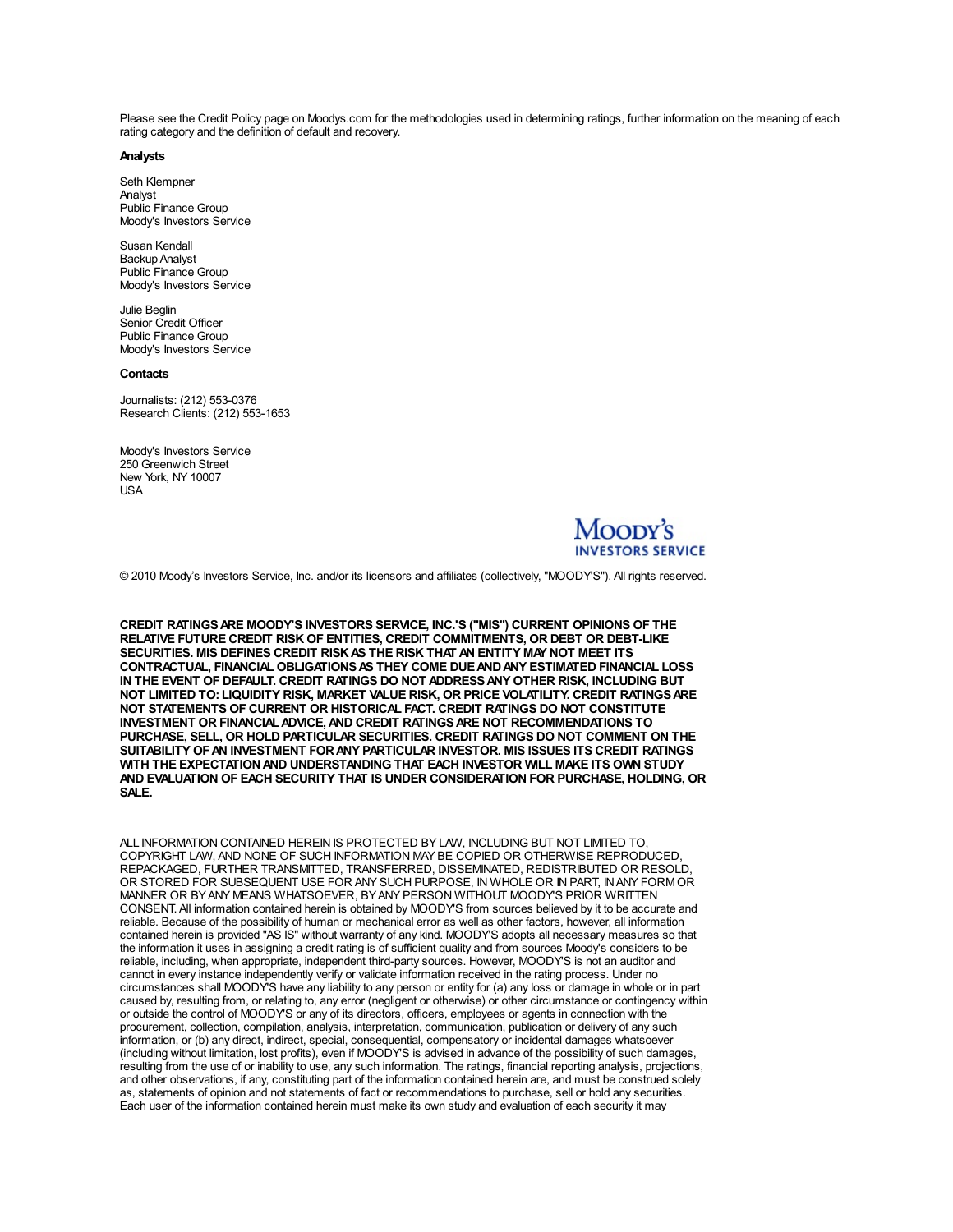Please see the Credit Policy page on Moodys.com for the methodologies used in determining ratings, further information on the meaning of each rating category and the definition of default and recovery.

#### **Analysts**

Seth Klempner Analyst Public Finance Group Moody's Investors Service

Susan Kendall Backup Analyst Public Finance Group Moody's Investors Service

Julie Beglin Senior Credit Officer Public Finance Group Moody's Investors Service

### **Contacts**

Journalists: (212) 553-0376 Research Clients: (212) 553-1653

Moody's Investors Service 250 Greenwich Street New York, NY 10007 USA

# Aoody's **INVESTORS SERVICE**

© 2010 Moody's Investors Service, Inc. and/or its licensors and affiliates (collectively, "MOODY'S"). All rights reserved.

**CREDIT RATINGSARE MOODY'S INVESTORS SERVICE, INC.'S ("MIS") CURRENT OPINIONS OF THE RELATIVE FUTURE CREDIT RISK OF ENTITIES, CREDIT COMMITMENTS, OR DEBT OR DEBT-LIKE SECURITIES. MIS DEFINES CREDIT RISKAS THE RISK THAT AN ENTITY MAY NOT MEET ITS CONTRACTUAL, FINANCIAL OBLIGATIONSAS THEY COME DUEANDANY ESTIMATED FINANCIAL LOSS IN THE EVENT OF DEFAULT. CREDIT RATINGS DO NOT ADDRESSANY OTHER RISK, INCLUDING BUT NOT LIMITED TO: LIQUIDITY RISK, MARKET VALUE RISK, OR PRICE VOLATILITY. CREDIT RATINGSARE NOT STATEMENTS OF CURRENT OR HISTORICAL FACT. CREDIT RATINGS DO NOT CONSTITUTE INVESTMENT OR FINANCIALADVICE,AND CREDIT RATINGSARE NOT RECOMMENDATIONS TO PURCHASE, SELL, OR HOLD PARTICULAR SECURITIES. CREDIT RATINGS DO NOT COMMENT ON THE SUITABILITY OFAN INVESTMENT FORANY PARTICULAR INVESTOR. MIS ISSUES ITS CREDIT RATINGS WITH THE EXPECTATIONAND UNDERSTANDING THAT EACH INVESTOR WILL MAKE ITS OWN STUDY AND EVALUATION OF EACH SECURITY THAT IS UNDER CONSIDERATION FOR PURCHASE, HOLDING, OR SALE.**

ALL INFORMATION CONTAINED HEREIN IS PROTECTED BY LAW, INCLUDING BUT NOT LIMITED TO, COPYRIGHT LAW, AND NONE OF SUCH INFORMATION MAY BE COPIED OR OTHERWISE REPRODUCED, OR STORED FOR SUBSEQUENT USE FOR ANY SUCH PURPOSE, IN WHOLE OR IN PART, IN ANY FORM OR MANNER OR BYANY MEANS WHATSOEVER, BYANY PERSON WITHOUT MOODY'S PRIOR WRITTEN CONSENT. All information contained herein is obtained by MOODY'S from sources believed by it to be accurate and reliable. Because of the possibility of human or mechanical error as well as other factors, however, all information contained herein is provided "AS IS" without warranty of any kind. MOODY'S adopts all necessary measures so that the information it uses in assigning a credit rating is of sufficient quality and from sources Moody's considers to be reliable, including, when appropriate, independent third-party sources. However, MOODY'S is not an auditor and cannot in every instance independently verify or validate information received in the rating process. Under no circumstances shall MOODY'S have any liability to any person or entity for (a) any loss or damage in whole or in part caused by, resulting from, or relating to, any error (negligent or otherwise) or other circumstance or contingency within or outside the control of MOODY'S or any of its directors, officers, employees or agents in connection with the procurement, collection, compilation, analysis, interpretation, communication, publication or delivery of any such information, or (b) any direct, indirect, special, consequential, compensatory or incidental damages whatsoever (including without limitation, lost profits), even if MOODY'S is advised in advance of the possibility of such damages, resulting from the use of or inability to use, any such information. The ratings, financial reporting analysis, projections, and other observations, if any, constituting part of the information contained herein are, and must be construed solely as, statements of opinion and not statements of fact or recommendations to purchase, sell or hold any securities. Each user of the information contained herein must make its own study and evaluation of each security it may